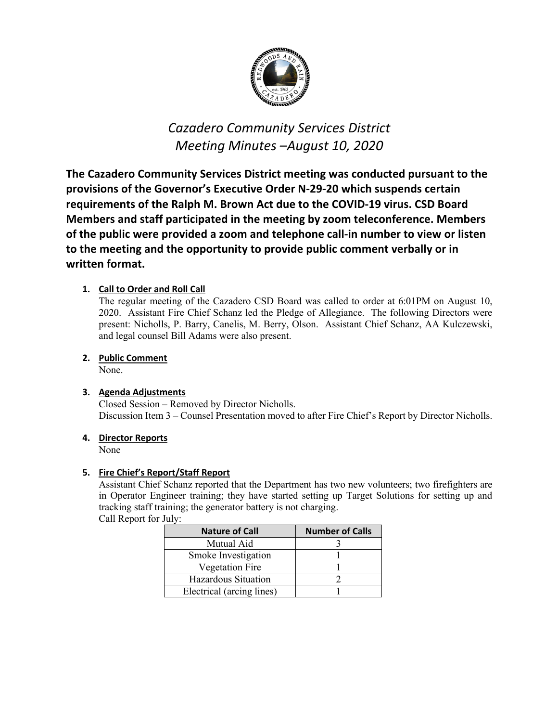

# *Cazadero Community Services District Meeting Minutes –August 10, 2020*

**The Cazadero Community Services District meeting was conducted pursuant to the provisions of the Governor's Executive Order N-29-20 which suspends certain requirements of the Ralph M. Brown Act due to the COVID-19 virus. CSD Board Members and staff participated in the meeting by zoom teleconference. Members of the public were provided a zoom and telephone call-in number to view or listen to the meeting and the opportunity to provide public comment verbally or in written format.**

# **1. Call to Order and Roll Call**

The regular meeting of the Cazadero CSD Board was called to order at 6:01PM on August 10, 2020. Assistant Fire Chief Schanz led the Pledge of Allegiance. The following Directors were present: Nicholls, P. Barry, Canelis, M. Berry, Olson. Assistant Chief Schanz, AA Kulczewski, and legal counsel Bill Adams were also present.

# **2. Public Comment**

None.

## **3. Agenda Adjustments**

Closed Session – Removed by Director Nicholls. Discussion Item 3 – Counsel Presentation moved to after Fire Chief's Report by Director Nicholls.

## **4. Director Reports**

None

## **5. Fire Chief's Report/Staff Report**

Assistant Chief Schanz reported that the Department has two new volunteers; two firefighters are in Operator Engineer training; they have started setting up Target Solutions for setting up and tracking staff training; the generator battery is not charging.

Call Report for July:

| <b>Nature of Call</b>     | <b>Number of Calls</b> |
|---------------------------|------------------------|
| Mutual Aid                |                        |
| Smoke Investigation       |                        |
| <b>Vegetation Fire</b>    |                        |
| Hazardous Situation       |                        |
| Electrical (arcing lines) |                        |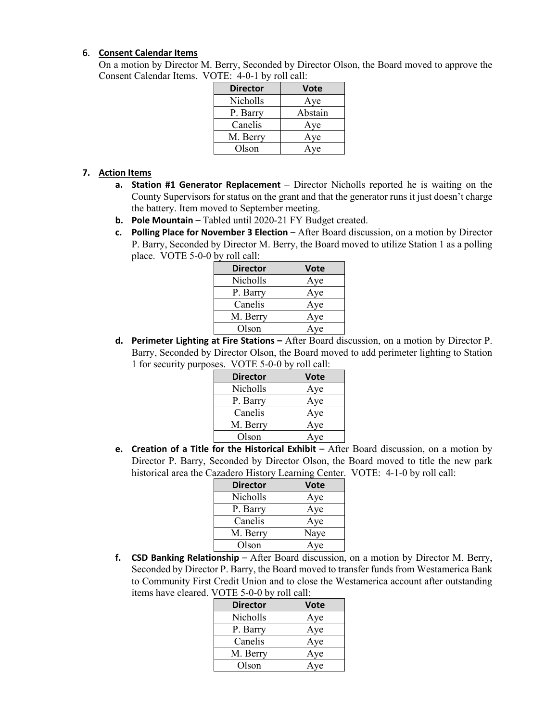#### 6. **Consent Calendar Items**

On a motion by Director M. Berry, Seconded by Director Olson, the Board moved to approve the Consent Calendar Items. VOTE: 4-0-1 by roll call:

| <b>Director</b> | Vote    |
|-----------------|---------|
| Nicholls        | Aye     |
| P. Barry        | Abstain |
| Canelis         | Aye     |
| M. Berry        | Aye     |
| Olson           | Aye     |

## **7. Action Items**

- **a. Station #1 Generator Replacement** Director Nicholls reported he is waiting on the County Supervisors for status on the grant and that the generator runs it just doesn't charge the battery. Item moved to September meeting.
- **b. Pole Mountain** Tabled until 2020-21 FY Budget created.
- **c. Polling Place for November 3 Election** After Board discussion, on a motion by Director P. Barry, Seconded by Director M. Berry, the Board moved to utilize Station 1 as a polling place. VOTE 5-0-0 by roll call:

| <b>Director</b> | Vote |
|-----------------|------|
| Nicholls        | Aye  |
| P. Barry        | Aye  |
| Canelis         | Aye  |
| M. Berry        | Aye  |
| Olson           | Aye  |

**d. Perimeter Lighting at Fire Stations –** After Board discussion, on a motion by Director P. Barry, Seconded by Director Olson, the Board moved to add perimeter lighting to Station 1 for security purposes. VOTE 5-0-0 by roll call:

| <b>Director</b> | Vote |
|-----------------|------|
| <b>Nicholls</b> | Aye  |
| P. Barry        | Aye  |
| Canelis         | Aye  |
| M. Berry        | Aye  |
| Olson           | Aye  |

**e. Creation of a Title for the Historical Exhibit** – After Board discussion, on a motion by Director P. Barry, Seconded by Director Olson, the Board moved to title the new park historical area the Cazadero History Learning Center. VOTE: 4-1-0 by roll call:

| <b>Director</b> | <b>Vote</b> |
|-----------------|-------------|
| Nicholls        | Aye         |
| P. Barry        | Aye         |
| Canelis         | Aye         |
| M. Berry        | Naye        |
| Olson           | Aye         |

**f. CSD Banking Relationship** – After Board discussion, on a motion by Director M. Berry, Seconded by Director P. Barry, the Board moved to transfer funds from Westamerica Bank to Community First Credit Union and to close the Westamerica account after outstanding items have cleared. VOTE 5-0-0 by roll call:

| <b>Director</b> | <b>Vote</b> |
|-----------------|-------------|
| Nicholls        | Aye         |
| P. Barry        | Aye         |
| Canelis         | Aye         |
| M. Berry        | Aye         |
| Olson           | Aye         |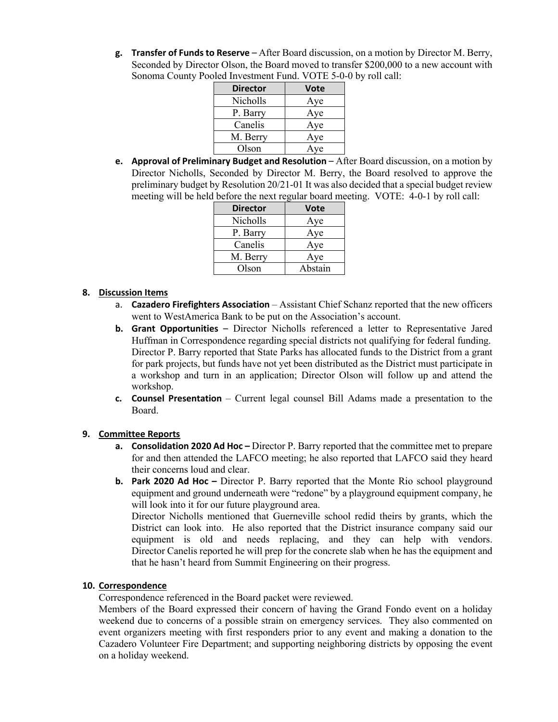**g. Transfer of Funds to Reserve** – After Board discussion, on a motion by Director M. Berry, Seconded by Director Olson, the Board moved to transfer \$200,000 to a new account with Sonoma County Pooled Investment Fund. VOTE 5-0-0 by roll call:

| <b>Director</b> | Vote |
|-----------------|------|
| Nicholls        | Aye  |
| P. Barry        | Aye  |
| Canelis         | Aye  |
| M. Berry        | Aye  |
| Olson           | Aye  |

**e. Approval of Preliminary Budget and Resolution** – After Board discussion, on a motion by Director Nicholls, Seconded by Director M. Berry, the Board resolved to approve the preliminary budget by Resolution 20/21-01 It was also decided that a special budget review meeting will be held before the next regular board meeting. VOTE: 4-0-1 by roll call:

| <b>Director</b> | Vote    |
|-----------------|---------|
| Nicholls        | Aye     |
| P. Barry        | Aye     |
| Canelis         | Aye     |
| M. Berry        | Aye     |
| Olson           | Abstain |

## **8. Discussion Items**

- a. **Cazadero Firefighters Association** Assistant Chief Schanz reported that the new officers went to WestAmerica Bank to be put on the Association's account.
- **b. Grant Opportunities** Director Nicholls referenced a letter to Representative Jared Huffman in Correspondence regarding special districts not qualifying for federal funding. Director P. Barry reported that State Parks has allocated funds to the District from a grant for park projects, but funds have not yet been distributed as the District must participate in a workshop and turn in an application; Director Olson will follow up and attend the workshop.
- **c. Counsel Presentation** Current legal counsel Bill Adams made a presentation to the Board.

## **9. Committee Reports**

- **a. Consolidation 2020 Ad Hoc –** Director P. Barry reported that the committee met to prepare for and then attended the LAFCO meeting; he also reported that LAFCO said they heard their concerns loud and clear.
- **b. Park 2020 Ad Hoc –** Director P. Barry reported that the Monte Rio school playground equipment and ground underneath were "redone" by a playground equipment company, he will look into it for our future playground area.

Director Nicholls mentioned that Guerneville school redid theirs by grants, which the District can look into. He also reported that the District insurance company said our equipment is old and needs replacing, and they can help with vendors. Director Canelis reported he will prep for the concrete slab when he has the equipment and that he hasn't heard from Summit Engineering on their progress.

### **10. Correspondence**

Correspondence referenced in the Board packet were reviewed.

Members of the Board expressed their concern of having the Grand Fondo event on a holiday weekend due to concerns of a possible strain on emergency services. They also commented on event organizers meeting with first responders prior to any event and making a donation to the Cazadero Volunteer Fire Department; and supporting neighboring districts by opposing the event on a holiday weekend.